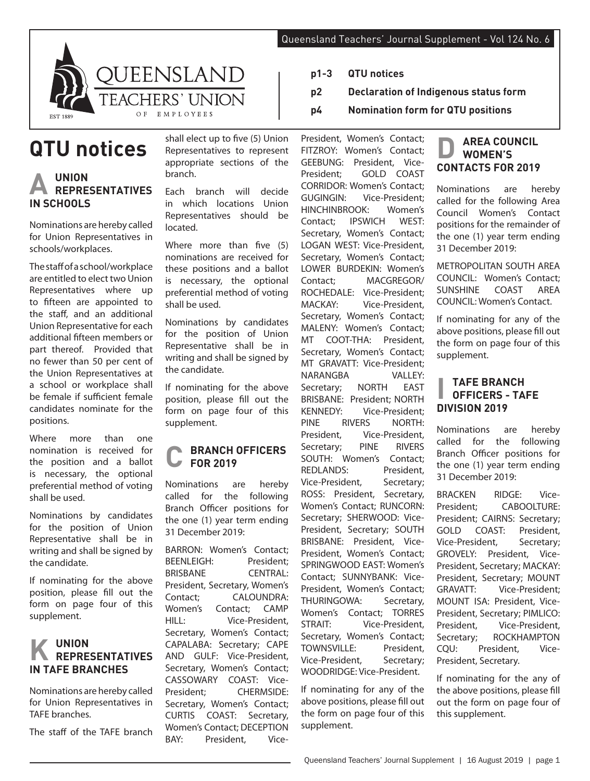

**QTU notices**

## **A UNION REPRESENTATIVES IN SCHOOLS**

Nominations are hereby called for Union Representatives in schools/workplaces.

The staff of a school/workplace are entitled to elect two Union Representatives where up to fifteen are appointed to the staff, and an additional Union Representative for each additional fifteen members or part thereof. Provided that no fewer than 50 per cent of the Union Representatives at a school or workplace shall be female if sufficient female candidates nominate for the positions.

Where more than one nomination is received for the position and a ballot is necessary, the optional preferential method of voting shall be used.

Nominations by candidates for the position of Union Representative shall be in writing and shall be signed by the candidate.

If nominating for the above position, please fill out the form on page four of this supplement.

## **K UNION REPRESENTATIVES IN TAFE BRANCHES**

Nominations are hereby called for Union Representatives in TAFE branches.

The staff of the TAFE branch

shall elect up to five (5) Union Representatives to represent appropriate sections of the branch.

Each branch will decide in which locations Union Representatives should be located.

Where more than five (5) nominations are received for these positions and a ballot is necessary, the optional preferential method of voting shall be used.

Nominations by candidates for the position of Union Representative shall be in writing and shall be signed by the candidate.

If nominating for the above position, please fill out the form on page four of this supplement.

#### **C BRANCH OFFICERS FOR 2019**

Nominations are hereby called for the following Branch Officer positions for the one (1) year term ending 31 December 2019:

BARRON: Women's Contact; BEENLEIGH: President; BRISBANE CENTRAL: President, Secretary, Women's Contact; CALOUNDRA: Women's Contact; CAMP HILL: Vice-President, Secretary, Women's Contact; CAPALABA: Secretary; CAPE AND GULF: Vice-President, Secretary, Women's Contact; CASSOWARY COAST: Vice-President; CHERMSIDE: Secretary, Women's Contact; CURTIS COAST: Secretary, Women's Contact; DECEPTION BAY: President, Vice-

- **p1-3 QTU notices**
- **p2 Declaration of Indigenous status form**
- **p4 Nomination form for QTU positions**

President, Women's Contact; FITZROY: Women's Contact; GEEBUNG: President, Vice-President; GOLD COAST CORRIDOR: Women's Contact;<br>GUGINGIN: Vice-President: Vice-President: HINCHINBROOK: Women's Contact; IPSWICH WEST: Secretary, Women's Contact; LOGAN WEST: Vice-President, Secretary, Women's Contact; LOWER BURDEKIN: Women's Contact; MACGREGOR/ ROCHEDALE: Vice-President; MACKAY: Vice-President, Secretary, Women's Contact; MALENY: Women's Contact; MT COOT-THA: President, Secretary, Women's Contact; MT GRAVATT: Vice-President; NARANGBA VALLEY:<br>Secretary: NORTH EAST Secretary: BRISBANE: President; NORTH KENNEDY: Vice-President; PINE RIVERS NORTH: President, Vice-President,<br>Secretary: PINF RIVERS Secretary; SOUTH: Women's Contact; REDLANDS: President, Vice-President, Secretary; ROSS: President, Secretary, Women's Contact; RUNCORN: Secretary; SHERWOOD: Vice-President, Secretary; SOUTH BRISBANE: President, Vice-President, Women's Contact; SPRINGWOOD EAST: Women's Contact; SUNNYBANK: Vice-President, Women's Contact; THURINGOWA: Secretary, Women's Contact; TORRES STRAIT: Vice-President, Secretary, Women's Contact; TOWNSVILLE: President, Vice-President, Secretary; WOODRIDGE: Vice-President.

If nominating for any of the above positions, please fill out the form on page four of this supplement.

#### **D AREA COUNCIL WOMEN'S CONTACTS FOR 2019**

Nominations are hereby called for the following Area Council Women's Contact positions for the remainder of the one (1) year term ending 31 December 2019:

METROPOLITAN SOUTH AREA COUNCIL: Women's Contact; SUNSHINE COAST AREA COUNCIL: Women's Contact.

If nominating for any of the above positions, please fill out the form on page four of this supplement.

### **I TAFE BRANCH OFFICERS - TAFE DIVISION 2019**

Nominations are hereby called for the following Branch Officer positions for the one (1) year term ending 31 December 2019:

BRACKEN RIDGE: Vice-President; CABOOLTURE: President; CAIRNS: Secretary; GOLD COAST: President, Vice-President, Secretary; GROVELY: President, Vice-President, Secretary; MACKAY: President, Secretary; MOUNT GRAVATT: Vice-President; MOUNT ISA: President, Vice-President, Secretary; PIMLICO: President, Vice-President, Secretary; ROCKHAMPTON CQU: President, Vice-President, Secretary.

If nominating for the any of the above positions, please fill out the form on page four of this supplement.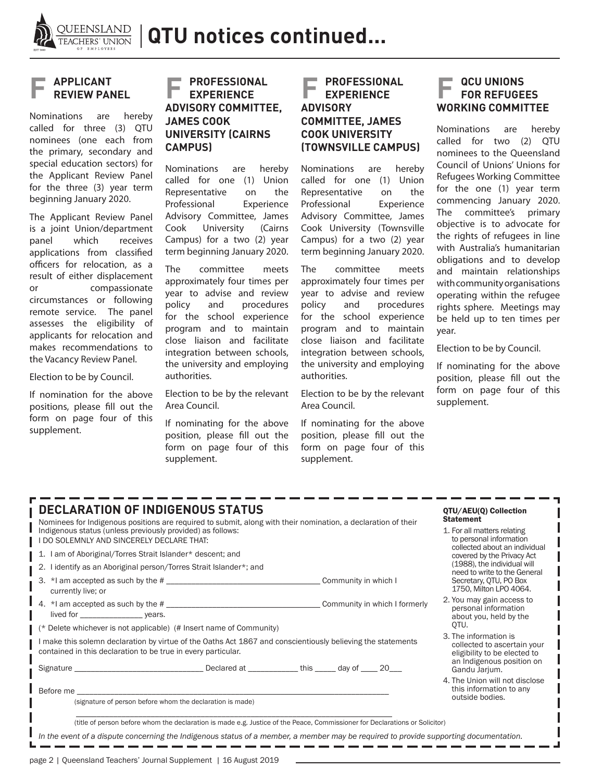

## **F APPLICANT REVIEW PANEL**

Nominations are hereby called for three (3) QTU nominees (one each from the primary, secondary and special education sectors) for the Applicant Review Panel for the three (3) year term beginning January 2020.

The Applicant Review Panel is a joint Union/department<br>panel vhich receives panel which receives applications from classified officers for relocation, as a result of either displacement or compassionate circumstances or following remote service. The panel assesses the eligibility of applicants for relocation and makes recommendations to the Vacancy Review Panel.

Election to be by Council.

If nomination for the above positions, please fill out the form on page four of this supplement.

#### **F PROFESSIONAL EXPERIENCE ADVISORY COMMITTEE, JAMES COOK UNIVERSITY (CAIRNS CAMPUS)**

Nominations are hereby called for one (1) Union Representative on the Professional Experience Advisory Committee, James Cook University (Cairns Campus) for a two (2) year term beginning January 2020.

The committee meets approximately four times per year to advise and review policy and procedures for the school experience program and to maintain close liaison and facilitate integration between schools, the university and employing authorities.

Election to be by the relevant Area Council.

If nominating for the above position, please fill out the form on page four of this supplement.

#### **F PROFESSIONAL EXPERIENCE ADVISORY COMMITTEE, JAMES COOK UNIVERSITY (TOWNSVILLE CAMPUS)**

Nominations are hereby called for one (1) Union Representative on the<br>Professional Experience Professional Advisory Committee, James Cook University (Townsville Campus) for a two (2) year term beginning January 2020.

The committee meets approximately four times per year to advise and review policy and procedures for the school experience program and to maintain close liaison and facilitate integration between schools, the university and employing authorities.

Election to be by the relevant Area Council.

If nominating for the above position, please fill out the form on page four of this supplement.

#### **QCU UNIONS FOR REFUGEES WORKING COMMITTEE**

Nominations are hereby called for two (2) QTU nominees to the Queensland Council of Unions' Unions for Refugees Working Committee for the one (1) year term commencing January 2020. The committee's primary objective is to advocate for the rights of refugees in line with Australia's humanitarian obligations and to develop and maintain relationships with community organisations operating within the refugee rights sphere. Meetings may be held up to ten times per year.

Election to be by Council.

If nominating for the above position, please fill out the form on page four of this supplement.

| <b>DECLARATION OF INDIGENOUS STATUS</b><br>Nominees for Indigenous positions are required to submit, along with their nomination, a declaration of their                     |                                                             | QTU/AEU(Q) Collection<br><b>Statement</b>                                               |  |
|------------------------------------------------------------------------------------------------------------------------------------------------------------------------------|-------------------------------------------------------------|-----------------------------------------------------------------------------------------|--|
| Indigenous status (unless previously provided) as follows:<br>I DO SOLEMNLY AND SINCERELY DECLARE THAT:                                                                      |                                                             | 1. For all matters relating<br>to personal information<br>collected about an individual |  |
| 1. I am of Aboriginal/Torres Strait Islander* descent; and                                                                                                                   | covered by the Privacy Act                                  |                                                                                         |  |
| 2. I identify as an Aboriginal person/Torres Strait Islander*; and                                                                                                           |                                                             | (1988), the individual will<br>need to write to the General                             |  |
| 3. *I am accepted as such by the #<br>currently live; or                                                                                                                     |                                                             | Secretary, QTU, PO Box<br>1750. Milton LPO 4064.                                        |  |
|                                                                                                                                                                              |                                                             | 2. You may gain access to<br>personal information<br>about you, held by the<br>OTU.     |  |
| (* Delete whichever is not applicable) (# Insert name of Community)                                                                                                          |                                                             | 3. The information is                                                                   |  |
| I make this solemn declaration by virtue of the Oaths Act 1867 and conscientiously believing the statements<br>contained in this declaration to be true in every particular. | collected to ascertain your<br>eligibility to be elected to |                                                                                         |  |
|                                                                                                                                                                              |                                                             | an Indigenous position on<br>Gandu Jarjum.                                              |  |
| Before me                                                                                                                                                                    |                                                             | 4. The Union will not disclose<br>this information to any                               |  |
| (signature of person before whom the declaration is made)                                                                                                                    |                                                             | outside bodies.                                                                         |  |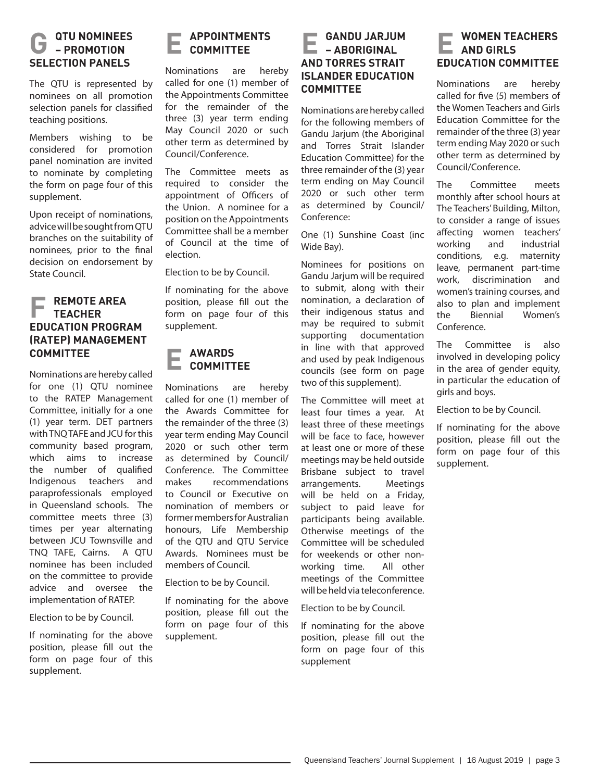#### **G QTU NOMINEES – PROMOTION SELECTION PANELS**

The QTU is represented by nominees on all promotion selection panels for classified teaching positions.

Members wishing to be considered for promotion panel nomination are invited to nominate by completing the form on page four of this supplement.

Upon receipt of nominations, advice will be sought from QTU branches on the suitability of nominees, prior to the final decision on endorsement by State Council.

#### **REMOTE AREA TEACHER EDUCATION PROGRAM (RATEP) MANAGEMENT COMMITTEE**

Nominations are hereby called for one (1) QTU nominee to the RATEP Management Committee, initially for a one (1) year term. DET partners with TNQ TAFE and JCU for this community based program, which aims to increase the number of qualified Indigenous teachers and paraprofessionals employed in Queensland schools. The committee meets three (3) times per year alternating between JCU Townsville and TNQ TAFE, Cairns. A QTU nominee has been included on the committee to provide advice and oversee the implementation of RATEP.

#### Election to be by Council.

If nominating for the above position, please fill out the form on page four of this supplement.

#### **E APPOINTMENTS COMMITTEE**

Nominations are hereby called for one (1) member of the Appointments Committee for the remainder of the three (3) year term ending May Council 2020 or such other term as determined by Council/Conference.

The Committee meets as required to consider the appointment of Officers of the Union. A nominee for a position on the Appointments Committee shall be a member of Council at the time of election.

Election to be by Council.

If nominating for the above position, please fill out the form on page four of this supplement.

# **E AWARDS COMMITTEE**

Nominations are hereby called for one (1) member of the Awards Committee for the remainder of the three (3) year term ending May Council 2020 or such other term as determined by Council/ Conference. The Committee makes recommendations to Council or Executive on nomination of members or former members for Australian honours, Life Membership of the QTU and QTU Service Awards. Nominees must be members of Council.

Election to be by Council.

If nominating for the above position, please fill out the form on page four of this supplement.

### **E GANDU JARJUM – ABORIGINAL AND TORRES STRAIT ISLANDER EDUCATION COMMITTEE**

Nominations are hereby called for the following members of Gandu Jarjum (the Aboriginal and Torres Strait Islander Education Committee) for the three remainder of the (3) year term ending on May Council 2020 or such other term as determined by Council/ Conference:

One (1) Sunshine Coast (inc Wide Bay).

Nominees for positions on Gandu Jarium will be required to submit, along with their nomination, a declaration of their indigenous status and may be required to submit supporting documentation in line with that approved and used by peak Indigenous councils (see form on page two of this supplement).

The Committee will meet at least four times a year. At least three of these meetings will be face to face, however at least one or more of these meetings may be held outside Brisbane subject to travel arrangements. Meetings will be held on a Friday, subject to paid leave for participants being available. Otherwise meetings of the Committee will be scheduled for weekends or other nonworking time. All other meetings of the Committee will be held via teleconference.

Election to be by Council.

If nominating for the above position, please fill out the form on page four of this supplement

#### **E WOMEN TEACHERS AND GIRLS EDUCATION COMMITTEE**

Nominations are hereby called for five (5) members of the Women Teachers and Girls Education Committee for the remainder of the three (3) year term ending May 2020 or such other term as determined by Council/Conference.

The Committee meets monthly after school hours at The Teachers' Building, Milton, to consider a range of issues affecting women teachers' working and industrial conditions, e.g. maternity leave, permanent part-time work, discrimination and women's training courses, and also to plan and implement the Biennial Women's Conference.

The Committee is also involved in developing policy in the area of gender equity, in particular the education of girls and boys.

Election to be by Council.

If nominating for the above position, please fill out the form on page four of this supplement.